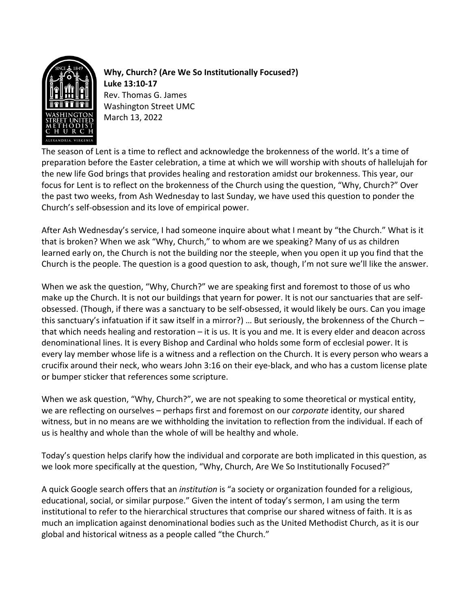

**Why, Church? (Are We So Institutionally Focused?) Luke 13:10-17** Rev. Thomas G. James Washington Street UMC March 13, 2022

The season of Lent is a time to reflect and acknowledge the brokenness of the world. It's a time of preparation before the Easter celebration, a time at which we will worship with shouts of hallelujah for the new life God brings that provides healing and restoration amidst our brokenness. This year, our focus for Lent is to reflect on the brokenness of the Church using the question, "Why, Church?" Over the past two weeks, from Ash Wednesday to last Sunday, we have used this question to ponder the Church's self-obsession and its love of empirical power.

After Ash Wednesday's service, I had someone inquire about what I meant by "the Church." What is it that is broken? When we ask "Why, Church," to whom are we speaking? Many of us as children learned early on, the Church is not the building nor the steeple, when you open it up you find that the Church is the people. The question is a good question to ask, though, I'm not sure we'll like the answer.

When we ask the question, "Why, Church?" we are speaking first and foremost to those of us who make up the Church. It is not our buildings that yearn for power. It is not our sanctuaries that are selfobsessed. (Though, if there was a sanctuary to be self-obsessed, it would likely be ours. Can you image this sanctuary's infatuation if it saw itself in a mirror?) … But seriously, the brokenness of the Church – that which needs healing and restoration – it is us. It is you and me. It is every elder and deacon across denominational lines. It is every Bishop and Cardinal who holds some form of ecclesial power. It is every lay member whose life is a witness and a reflection on the Church. It is every person who wears a crucifix around their neck, who wears John 3:16 on their eye-black, and who has a custom license plate or bumper sticker that references some scripture.

When we ask question, "Why, Church?", we are not speaking to some theoretical or mystical entity, we are reflecting on ourselves – perhaps first and foremost on our *corporate* identity, our shared witness, but in no means are we withholding the invitation to reflection from the individual. If each of us is healthy and whole than the whole of will be healthy and whole.

Today's question helps clarify how the individual and corporate are both implicated in this question, as we look more specifically at the question, "Why, Church, Are We So Institutionally Focused?"

A quick Google search offers that an *institution* is "a society or organization founded for a religious, educational, social, or similar purpose." Given the intent of today's sermon, I am using the term institutional to refer to the hierarchical structures that comprise our shared witness of faith. It is as much an implication against denominational bodies such as the United Methodist Church, as it is our global and historical witness as a people called "the Church."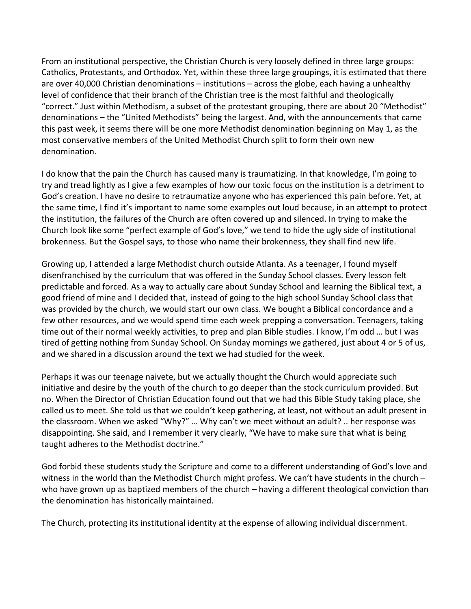From an institutional perspective, the Christian Church is very loosely defined in three large groups: Catholics, Protestants, and Orthodox. Yet, within these three large groupings, it is estimated that there are over 40,000 Christian denominations – institutions – across the globe, each having a unhealthy level of confidence that their branch of the Christian tree is the most faithful and theologically "correct." Just within Methodism, a subset of the protestant grouping, there are about 20 "Methodist" denominations – the "United Methodists" being the largest. And, with the announcements that came this past week, it seems there will be one more Methodist denomination beginning on May 1, as the most conservative members of the United Methodist Church split to form their own new denomination.

I do know that the pain the Church has caused many is traumatizing. In that knowledge, I'm going to try and tread lightly as I give a few examples of how our toxic focus on the institution is a detriment to God's creation. I have no desire to retraumatize anyone who has experienced this pain before. Yet, at the same time, I find it's important to name some examples out loud because, in an attempt to protect the institution, the failures of the Church are often covered up and silenced. In trying to make the Church look like some "perfect example of God's love," we tend to hide the ugly side of institutional brokenness. But the Gospel says, to those who name their brokenness, they shall find new life.

Growing up, I attended a large Methodist church outside Atlanta. As a teenager, I found myself disenfranchised by the curriculum that was offered in the Sunday School classes. Every lesson felt predictable and forced. As a way to actually care about Sunday School and learning the Biblical text, a good friend of mine and I decided that, instead of going to the high school Sunday School class that was provided by the church, we would start our own class. We bought a Biblical concordance and a few other resources, and we would spend time each week prepping a conversation. Teenagers, taking time out of their normal weekly activities, to prep and plan Bible studies. I know, I'm odd … but I was tired of getting nothing from Sunday School. On Sunday mornings we gathered, just about 4 or 5 of us, and we shared in a discussion around the text we had studied for the week.

Perhaps it was our teenage naivete, but we actually thought the Church would appreciate such initiative and desire by the youth of the church to go deeper than the stock curriculum provided. But no. When the Director of Christian Education found out that we had this Bible Study taking place, she called us to meet. She told us that we couldn't keep gathering, at least, not without an adult present in the classroom. When we asked "Why?" … Why can't we meet without an adult? .. her response was disappointing. She said, and I remember it very clearly, "We have to make sure that what is being taught adheres to the Methodist doctrine."

God forbid these students study the Scripture and come to a different understanding of God's love and witness in the world than the Methodist Church might profess. We can't have students in the church who have grown up as baptized members of the church – having a different theological conviction than the denomination has historically maintained.

The Church, protecting its institutional identity at the expense of allowing individual discernment.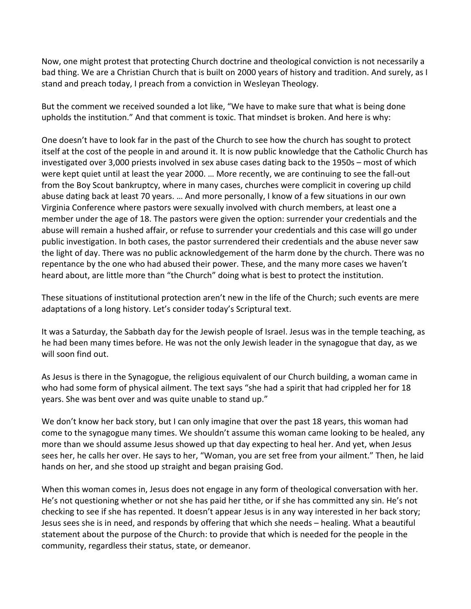Now, one might protest that protecting Church doctrine and theological conviction is not necessarily a bad thing. We are a Christian Church that is built on 2000 years of history and tradition. And surely, as I stand and preach today, I preach from a conviction in Wesleyan Theology.

But the comment we received sounded a lot like, "We have to make sure that what is being done upholds the institution." And that comment is toxic. That mindset is broken. And here is why:

One doesn't have to look far in the past of the Church to see how the church has sought to protect itself at the cost of the people in and around it. It is now public knowledge that the Catholic Church has investigated over 3,000 priests involved in sex abuse cases dating back to the 1950s – most of which were kept quiet until at least the year 2000. … More recently, we are continuing to see the fall-out from the Boy Scout bankruptcy, where in many cases, churches were complicit in covering up child abuse dating back at least 70 years. … And more personally, I know of a few situations in our own Virginia Conference where pastors were sexually involved with church members, at least one a member under the age of 18. The pastors were given the option: surrender your credentials and the abuse will remain a hushed affair, or refuse to surrender your credentials and this case will go under public investigation. In both cases, the pastor surrendered their credentials and the abuse never saw the light of day. There was no public acknowledgement of the harm done by the church. There was no repentance by the one who had abused their power. These, and the many more cases we haven't heard about, are little more than "the Church" doing what is best to protect the institution.

These situations of institutional protection aren't new in the life of the Church; such events are mere adaptations of a long history. Let's consider today's Scriptural text.

It was a Saturday, the Sabbath day for the Jewish people of Israel. Jesus was in the temple teaching, as he had been many times before. He was not the only Jewish leader in the synagogue that day, as we will soon find out.

As Jesus is there in the Synagogue, the religious equivalent of our Church building, a woman came in who had some form of physical ailment. The text says "she had a spirit that had crippled her for 18 years. She was bent over and was quite unable to stand up."

We don't know her back story, but I can only imagine that over the past 18 years, this woman had come to the synagogue many times. We shouldn't assume this woman came looking to be healed, any more than we should assume Jesus showed up that day expecting to heal her. And yet, when Jesus sees her, he calls her over. He says to her, "Woman, you are set free from your ailment." Then, he laid hands on her, and she stood up straight and began praising God.

When this woman comes in, Jesus does not engage in any form of theological conversation with her. He's not questioning whether or not she has paid her tithe, or if she has committed any sin. He's not checking to see if she has repented. It doesn't appear Jesus is in any way interested in her back story; Jesus sees she is in need, and responds by offering that which she needs – healing. What a beautiful statement about the purpose of the Church: to provide that which is needed for the people in the community, regardless their status, state, or demeanor.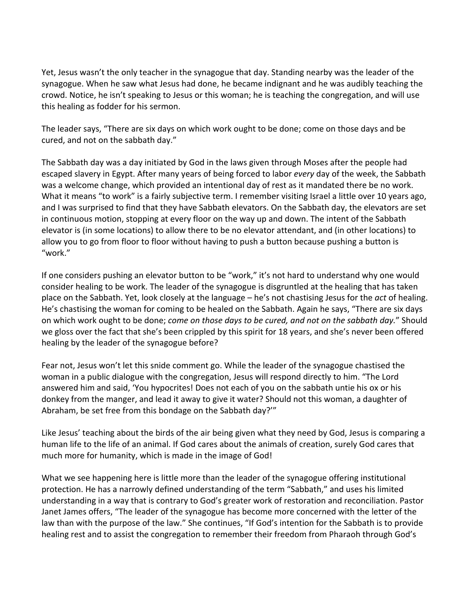Yet, Jesus wasn't the only teacher in the synagogue that day. Standing nearby was the leader of the synagogue. When he saw what Jesus had done, he became indignant and he was audibly teaching the crowd. Notice, he isn't speaking to Jesus or this woman; he is teaching the congregation, and will use this healing as fodder for his sermon.

The leader says, "There are six days on which work ought to be done; come on those days and be cured, and not on the sabbath day."

The Sabbath day was a day initiated by God in the laws given through Moses after the people had escaped slavery in Egypt. After many years of being forced to labor *every* day of the week, the Sabbath was a welcome change, which provided an intentional day of rest as it mandated there be no work. What it means "to work" is a fairly subjective term. I remember visiting Israel a little over 10 years ago, and I was surprised to find that they have Sabbath elevators. On the Sabbath day, the elevators are set in continuous motion, stopping at every floor on the way up and down. The intent of the Sabbath elevator is (in some locations) to allow there to be no elevator attendant, and (in other locations) to allow you to go from floor to floor without having to push a button because pushing a button is "work."

If one considers pushing an elevator button to be "work," it's not hard to understand why one would consider healing to be work. The leader of the synagogue is disgruntled at the healing that has taken place on the Sabbath. Yet, look closely at the language – he's not chastising Jesus for the *act* of healing. He's chastising the woman for coming to be healed on the Sabbath. Again he says, "There are six days on which work ought to be done; *come on those days to be cured, and not on the sabbath day.*" Should we gloss over the fact that she's been crippled by this spirit for 18 years, and she's never been offered healing by the leader of the synagogue before?

Fear not, Jesus won't let this snide comment go. While the leader of the synagogue chastised the woman in a public dialogue with the congregation, Jesus will respond directly to him. "The Lord answered him and said, 'You hypocrites! Does not each of you on the sabbath untie his ox or his donkey from the manger, and lead it away to give it water? Should not this woman, a daughter of Abraham, be set free from this bondage on the Sabbath day?'"

Like Jesus' teaching about the birds of the air being given what they need by God, Jesus is comparing a human life to the life of an animal. If God cares about the animals of creation, surely God cares that much more for humanity, which is made in the image of God!

What we see happening here is little more than the leader of the synagogue offering institutional protection. He has a narrowly defined understanding of the term "Sabbath," and uses his limited understanding in a way that is contrary to God's greater work of restoration and reconciliation. Pastor Janet James offers, "The leader of the synagogue has become more concerned with the letter of the law than with the purpose of the law." She continues, "If God's intention for the Sabbath is to provide healing rest and to assist the congregation to remember their freedom from Pharaoh through God's